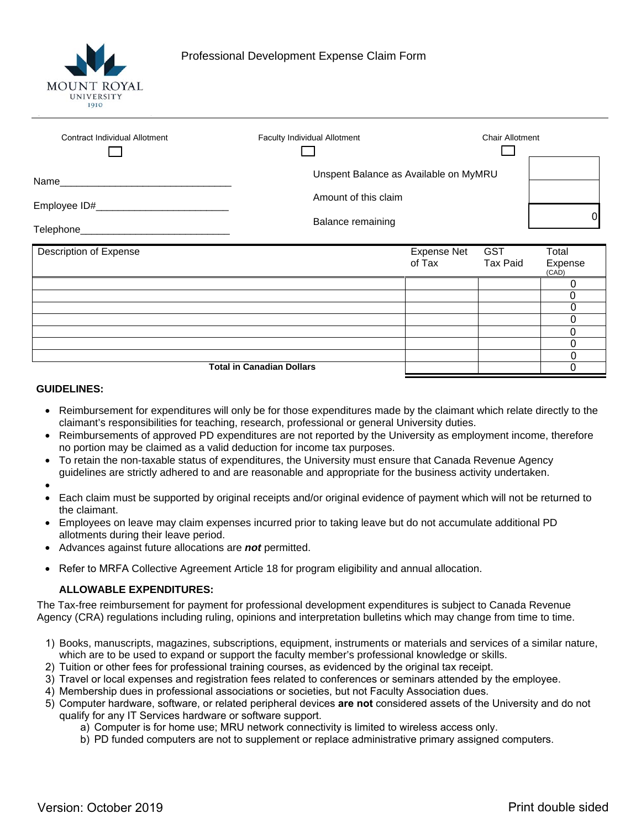

| <b>Contract Individual Allotment</b>        | Faculty Individual Allotment                     |                              | <b>Chair Allotment</b>        |                           |
|---------------------------------------------|--------------------------------------------------|------------------------------|-------------------------------|---------------------------|
|                                             | Unspent Balance as Available on MyMRU            |                              |                               |                           |
| Employee ID#_______________                 | Amount of this claim<br><b>Balance remaining</b> |                              |                               |                           |
| Telephone__________________________________ |                                                  |                              |                               |                           |
| Description of Expense                      |                                                  | <b>Expense Net</b><br>of Tax | <b>GST</b><br><b>Tax Paid</b> | Total<br>Expense<br>(CAD) |
|                                             |                                                  |                              |                               | 0                         |
|                                             |                                                  |                              |                               | 0<br>0                    |
|                                             |                                                  |                              |                               | 0                         |
|                                             |                                                  |                              |                               | 0                         |
|                                             |                                                  |                              |                               | 0                         |
| <b>Total in Canadian Dollars</b>            |                                                  |                              |                               | 0<br>0                    |

## **GUIDELINES:**

- Reimbursement for expenditures will only be for those expenditures made by the claimant which relate directly to the claimant's responsibilities for teaching, research, professional or general University duties.
- Reimbursements of approved PD expenditures are not reported by the University as employment income, therefore no portion may be claimed as a valid deduction for income tax purposes.
- To retain the non-taxable status of expenditures, the University must ensure that Canada Revenue Agency guidelines are strictly adhered to and are reasonable and appropriate for the business activity undertaken.
- •
- Each claim must be supported by original receipts and/or original evidence of payment which will not be returned to the claimant.
- Employees on leave may claim expenses incurred prior to taking leave but do not accumulate additional PD allotments during their leave period.
- Advances against future allocations are *not* permitted.
- Refer to MRFA Collective Agreement Article 18 for program eligibility and annual allocation.

## **ALLOWABLE EXPENDITURES:**

The Tax-free reimbursement for payment for professional development expenditures is subject to Canada Revenue Agency (CRA) regulations including ruling, opinions and interpretation bulletins which may change from time to time.

- 1) Books, manuscripts, magazines, subscriptions, equipment, instruments or materials and services of a similar nature, which are to be used to expand or support the faculty member's professional knowledge or skills.
- 2) Tuition or other fees for professional training courses, as evidenced by the original tax receipt.
- 3) Travel or local expenses and registration fees related to conferences or seminars attended by the employee.
- 4) Membership dues in professional associations or societies, but not Faculty Association dues.
- 5) Computer hardware, software, or related peripheral devices **are not** considered assets of the University and do not qualify for any IT Services hardware or software support.
	- a) Computer is for home use; MRU network connectivity is limited to wireless access only.
	- b) PD funded computers are not to supplement or replace administrative primary assigned computers.